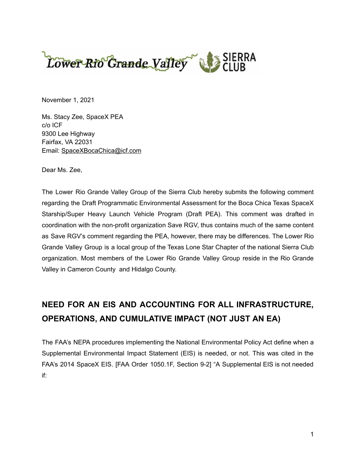

November 1, 2021

Ms. Stacy Zee, SpaceX PEA c/o ICF 9300 Lee Highway Fairfax, VA 22031 Email: [SpaceXBocaChica@icf.com](mailto:SpaceXBocaChica@icf.com)

Dear Ms. Zee,

The Lower Rio Grande Valley Group of the Sierra Club hereby submits the following comment regarding the Draft Programmatic Environmental Assessment for the Boca Chica Texas SpaceX Starship/Super Heavy Launch Vehicle Program (Draft PEA). This comment was drafted in coordination with the non-profit organization Save RGV, thus contains much of the same content as Save RGV's comment regarding the PEA, however, there may be differences. The Lower Rio Grande Valley Group is a local group of the Texas Lone Star Chapter of the national Sierra Club organization. Most members of the Lower Rio Grande Valley Group reside in the Rio Grande Valley in Cameron County and Hidalgo County.

# **NEED FOR AN EIS AND ACCOUNTING FOR ALL INFRASTRUCTURE, OPERATIONS, AND CUMULATIVE IMPACT (NOT JUST AN EA)**

The FAA's NEPA procedures implementing the National Environmental Policy Act define when a Supplemental Environmental Impact Statement (EIS) is needed, or not. This was cited in the FAA's 2014 SpaceX EIS. [FAA Order 1050.1F, Section 9-2] "A Supplemental EIS is not needed if: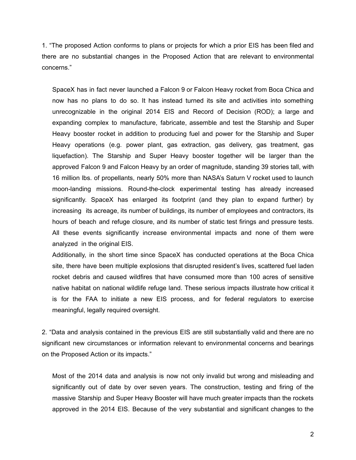1. "The proposed Action conforms to plans or projects for which a prior EIS has been filed and there are no substantial changes in the Proposed Action that are relevant to environmental concerns."

SpaceX has in fact never launched a Falcon 9 or Falcon Heavy rocket from Boca Chica and now has no plans to do so. It has instead turned its site and activities into something unrecognizable in the original 2014 EIS and Record of Decision (ROD); a large and expanding complex to manufacture, fabricate, assemble and test the Starship and Super Heavy booster rocket in addition to producing fuel and power for the Starship and Super Heavy operations (e.g. power plant, gas extraction, gas delivery, gas treatment, gas liquefaction). The Starship and Super Heavy booster together will be larger than the approved Falcon 9 and Falcon Heavy by an order of magnitude, standing 39 stories tall, with 16 million lbs. of propellants, nearly 50% more than NASA's Saturn V rocket used to launch moon-landing missions. Round-the-clock experimental testing has already increased significantly. SpaceX has enlarged its footprint (and they plan to expand further) by increasing its acreage, its number of buildings, its number of employees and contractors, its hours of beach and refuge closure, and its number of static test firings and pressure tests. All these events significantly increase environmental impacts and none of them were analyzed in the original EIS.

Additionally, in the short time since SpaceX has conducted operations at the Boca Chica site, there have been multiple explosions that disrupted resident's lives, scattered fuel laden rocket debris and caused wildfires that have consumed more than 100 acres of sensitive native habitat on national wildlife refuge land. These serious impacts illustrate how critical it is for the FAA to initiate a new EIS process, and for federal regulators to exercise meaningful, legally required oversight.

2. "Data and analysis contained in the previous EIS are still substantially valid and there are no significant new circumstances or information relevant to environmental concerns and bearings on the Proposed Action or its impacts."

Most of the 2014 data and analysis is now not only invalid but wrong and misleading and significantly out of date by over seven years. The construction, testing and firing of the massive Starship and Super Heavy Booster will have much greater impacts than the rockets approved in the 2014 EIS. Because of the very substantial and significant changes to the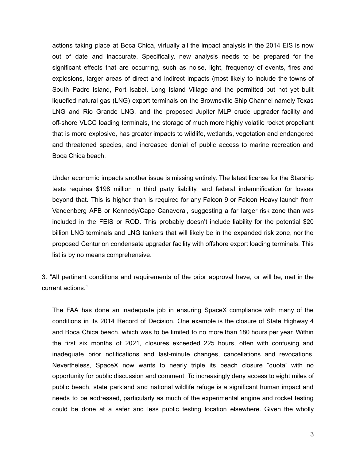actions taking place at Boca Chica, virtually all the impact analysis in the 2014 EIS is now out of date and inaccurate. Specifically, new analysis needs to be prepared for the significant effects that are occurring, such as noise, light, frequency of events, fires and explosions, larger areas of direct and indirect impacts (most likely to include the towns of South Padre Island, Port Isabel, Long Island Village and the permitted but not yet built liquefied natural gas (LNG) export terminals on the Brownsville Ship Channel namely Texas LNG and Rio Grande LNG, and the proposed Jupiter MLP crude upgrader facility and off-shore VLCC loading terminals, the storage of much more highly volatile rocket propellant that is more explosive, has greater impacts to wildlife, wetlands, vegetation and endangered and threatened species, and increased denial of public access to marine recreation and Boca Chica beach.

Under economic impacts another issue is missing entirely. The latest license for the Starship tests requires \$198 million in third party liability, and federal indemnification for losses beyond that. This is higher than is required for any Falcon 9 or Falcon Heavy launch from Vandenberg AFB or Kennedy/Cape Canaveral, suggesting a far larger risk zone than was included in the FEIS or ROD. This probably doesn't include liability for the potential \$20 billion LNG terminals and LNG tankers that will likely be in the expanded risk zone, nor the proposed Centurion condensate upgrader facility with offshore export loading terminals. This list is by no means comprehensive.

3. "All pertinent conditions and requirements of the prior approval have, or will be, met in the current actions."

The FAA has done an inadequate job in ensuring SpaceX compliance with many of the conditions in its 2014 Record of Decision. One example is the closure of State Highway 4 and Boca Chica beach, which was to be limited to no more than 180 hours per year. Within the first six months of 2021, closures exceeded 225 hours, often with confusing and inadequate prior notifications and last-minute changes, cancellations and revocations. Nevertheless, SpaceX now wants to nearly triple its beach closure "quota" with no opportunity for public discussion and comment. To increasingly deny access to eight miles of public beach, state parkland and national wildlife refuge is a significant human impact and needs to be addressed, particularly as much of the experimental engine and rocket testing could be done at a safer and less public testing location elsewhere. Given the wholly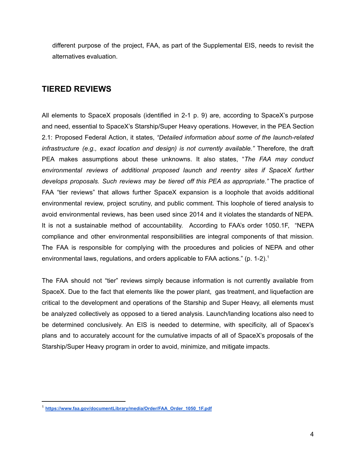different purpose of the project, FAA, as part of the Supplemental EIS, needs to revisit the alternatives evaluation.

# **TIERED REVIEWS**

All elements to SpaceX proposals (identified in 2-1 p. 9) are, according to SpaceX's purpose and need, essential to SpaceX's Starship/Super Heavy operations. However, in the PEA Section 2.1: Proposed Federal Action, it states, *"Detailed information about some of the launch-related infrastructure (e.g., exact location and design) is not currently available."* Therefore, the draft PEA makes assumptions about these unknowns. It also states, "*The FAA may conduct environmental reviews of additional proposed launch and reentry sites if SpaceX further develops proposals. Such reviews may be tiered off this PEA as appropriate."* The practice of FAA "tier reviews" that allows further SpaceX expansion is a loophole that avoids additional environmental review, project scrutiny, and public comment. This loophole of tiered analysis to avoid environmental reviews, has been used since 2014 and it violates the standards of NEPA. It is not a sustainable method of accountability. According to FAA's order 1050.1F, "NEPA compliance and other environmental responsibilities are integral components of that mission. The FAA is responsible for complying with the procedures and policies of NEPA and other environmental laws, regulations, and orders applicable to FAA actions." (p. 1-2).<sup>1</sup>

The FAA should not "tier" reviews simply because information is not currently available from SpaceX. Due to the fact that elements like the power plant, gas treatment, and liquefaction are critical to the development and operations of the Starship and Super Heavy, all elements must be analyzed collectively as opposed to a tiered analysis. Launch/landing locations also need to be determined conclusively. An EIS is needed to determine, with specificity, all of Spacex's plans and to accurately account for the cumulative impacts of all of SpaceX's proposals of the Starship/Super Heavy program in order to avoid, minimize, and mitigate impacts.

<sup>1</sup> **[https://www.faa.gov/documentLibrary/media/Order/FAA\\_Order\\_1050\\_1F.pdf](https://www.faa.gov/documentLibrary/media/Order/FAA_Order_1050_1F.pdf)**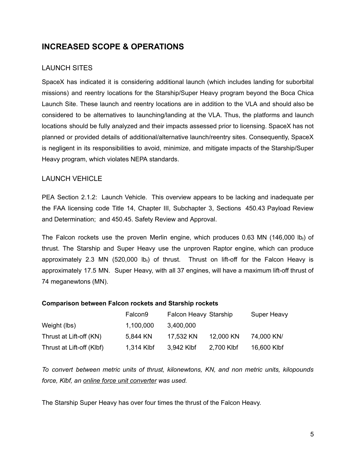# **INCREASED SCOPE & OPERATIONS**

### LAUNCH SITES

SpaceX has indicated it is considering additional launch (which includes landing for suborbital missions) and reentry locations for the Starship/Super Heavy program beyond the Boca Chica Launch Site. These launch and reentry locations are in addition to the VLA and should also be considered to be alternatives to launching/landing at the VLA. Thus, the platforms and launch locations should be fully analyzed and their impacts assessed prior to licensing. SpaceX has not planned or provided details of additional/alternative launch/reentry sites. Consequently, SpaceX is negligent in its responsibilities to avoid, minimize, and mitigate impacts of the Starship/Super Heavy program, which violates NEPA standards.

### LAUNCH VEHICLE

PEA Section 2.1.2: Launch Vehicle. This overview appears to be lacking and inadequate per the FAA licensing code Title 14, Chapter III, Subchapter 3, Sections 450.43 Payload Review and Determination; and 450.45. Safety Review and Approval.

The Falcon rockets use the proven Merlin engine, which produces 0.63 MN (146,000 lb<sub>f</sub>) of thrust. The Starship and Super Heavy use the unproven Raptor engine, which can produce approximately 2.3 MN (520,000 lb<sub>f</sub>) of thrust. Thrust on lift-off for the Falcon Heavy is approximately 17.5 MN. Super Heavy, with all 37 engines, will have a maximum lift-off thrust of 74 meganewtons (MN).

### **Comparison between Falcon rockets and Starship rockets**

|                           | Falcon <sub>9</sub> | <b>Falcon Heavy Starship</b> |            | Super Heavy |
|---------------------------|---------------------|------------------------------|------------|-------------|
| Weight (lbs)              | 1,100,000           | 3,400,000                    |            |             |
| Thrust at Lift-off (KN)   | 5,844 KN            | 17.532 KN                    | 12,000 KN  | 74,000 KN/  |
| Thrust at Lift-off (Klbf) | 1,314 Klbf          | 3,942 Klbf                   | 2,700 Klbf | 16,600 Klbf |

*To convert between metric units of thrust, kilonewtons, KN, and non metric units, kilopounds force, Klbf, an online force unit [converter](https://www.unitconverters.net/force-converter.html) was used.*

The Starship Super Heavy has over four times the thrust of the Falcon Heavy.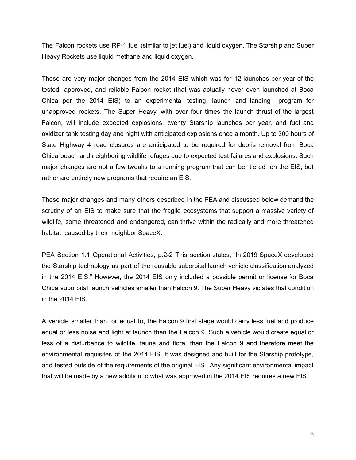The Falcon rockets use RP-1 fuel (similar to jet fuel) and liquid oxygen. The Starship and Super Heavy Rockets use liquid methane and liquid oxygen.

These are very major changes from the 2014 EIS which was for 12 launches per year of the tested, approved, and reliable Falcon rocket (that was actually never even launched at Boca Chica per the 2014 EIS) to an experimental testing, launch and landing program for unapproved rockets. The Super Heavy, with over four times the launch thrust of the largest Falcon, will include expected explosions, twenty Starship launches per year, and fuel and oxidizer tank testing day and night with anticipated explosions once a month. Up to 300 hours of State Highway 4 road closures are anticipated to be required for debris removal from Boca Chica beach and neighboring wildlife refuges due to expected test failures and explosions. Such major changes are not a few tweaks to a running program that can be "tiered" on the EIS, but rather are entirely new programs that require an EIS.

These major changes and many others described in the PEA and discussed below demand the scrutiny of an EIS to make sure that the fragile ecosystems that support a massive variety of wildlife, some threatened and endangered, can thrive within the radically and more threatened habitat caused by their neighbor SpaceX.

PEA Section 1.1 Operational Activities, p.2-2 This section states, "In 2019 SpaceX developed the Starship technology as part of the reusable suborbital launch vehicle classification analyzed in the 2014 EIS." However, the 2014 EIS only included a possible permit or license for Boca Chica suborbital launch vehicles smaller than Falcon 9. The Super Heavy violates that condition in the 2014 EIS.

A vehicle smaller than, or equal to, the Falcon 9 first stage would carry less fuel and produce equal or less noise and light at launch than the Falcon 9. Such a vehicle would create equal or less of a disturbance to wildlife, fauna and flora, than the Falcon 9 and therefore meet the environmental requisites of the 2014 EIS. It was designed and built for the Starship prototype, and tested outside of the requirements of the original EIS. Any significant environmental impact that will be made by a new addition to what was approved in the 2014 EIS requires a new EIS.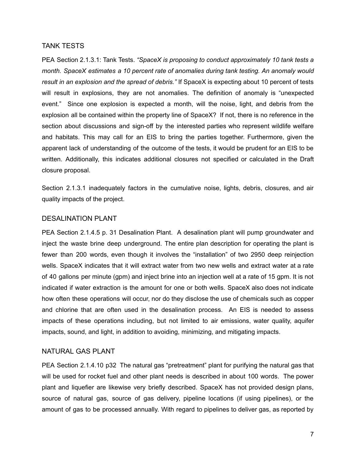#### TANK TESTS

PEA Section 2.1.3.1: Tank Tests. *"SpaceX is proposing to conduct approximately 10 tank tests a month. SpaceX estimates a 10 percent rate of anomalies during tank testing. An anomaly would result in an explosion and the spread of debris."* If SpaceX is expecting about 10 percent of tests will result in explosions, they are not anomalies. The definition of anomaly is "unexpected event." Since one explosion is expected a month, will the noise, light, and debris from the explosion all be contained within the property line of SpaceX? If not, there is no reference in the section about discussions and sign-off by the interested parties who represent wildlife welfare and habitats. This may call for an EIS to bring the parties together. Furthermore, given the apparent lack of understanding of the outcome of the tests, it would be prudent for an EIS to be written. Additionally, this indicates additional closures not specified or calculated in the Draft closure proposal.

Section 2.1.3.1 inadequately factors in the cumulative noise, lights, debris, closures, and air quality impacts of the project.

### DESALINATION PLANT

PEA Section 2.1.4.5 p. 31 Desalination Plant. A desalination plant will pump groundwater and inject the waste brine deep underground. The entire plan description for operating the plant is fewer than 200 words, even though it involves the "installation" of two 2950 deep reinjection wells. SpaceX indicates that it will extract water from two new wells and extract water at a rate of 40 gallons per minute (gpm) and inject brine into an injection well at a rate of 15 gpm. It is not indicated if water extraction is the amount for one or both wells. SpaceX also does not indicate how often these operations will occur, nor do they disclose the use of chemicals such as copper and chlorine that are often used in the desalination process. An EIS is needed to assess impacts of these operations including, but not limited to air emissions, water quality, aquifer impacts, sound, and light, in addition to avoiding, minimizing, and mitigating impacts.

#### NATURAL GAS PLANT

PEA Section 2.1.4.10 p32 The natural gas "pretreatment" plant for purifying the natural gas that will be used for rocket fuel and other plant needs is described in about 100 words. The power plant and liquefier are likewise very briefly described. SpaceX has not provided design plans, source of natural gas, source of gas delivery, pipeline locations (if using pipelines), or the amount of gas to be processed annually. With regard to pipelines to deliver gas, as reported by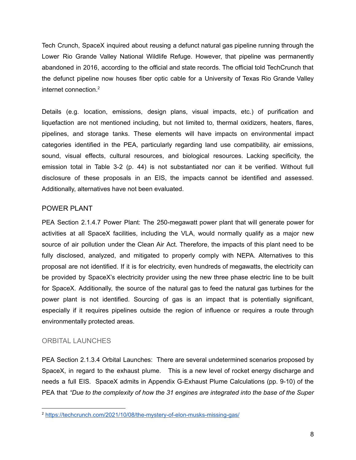Tech Crunch, SpaceX inquired about reusing a defunct natural gas pipeline running through the Lower Rio Grande Valley National Wildlife Refuge. However, that pipeline was permanently abandoned in 2016, according to the official and state [records](https://gis.rrc.texas.gov/GISViewer/). The official told TechCrunch that the defunct pipeline now houses fiber optic cable for a University of Texas Rio Grande Valley internet connection. 2

Details (e.g. location, emissions, design plans, visual impacts, etc.) of purification and liquefaction are not mentioned including, but not limited to, thermal oxidizers, heaters, flares, pipelines, and storage tanks. These elements will have impacts on environmental impact categories identified in the PEA, particularly regarding land use compatibility, air emissions, sound, visual effects, cultural resources, and biological resources. Lacking specificity, the emission total in Table 3-2 (p. 44) is not substantiated nor can it be verified. Without full disclosure of these proposals in an EIS, the impacts cannot be identified and assessed. Additionally, alternatives have not been evaluated.

### POWER PLANT

PEA Section 2.1.4.7 Power Plant: The 250-megawatt power plant that will generate power for activities at all SpaceX facilities, including the VLA, would normally qualify as a major new source of air pollution under the Clean Air Act. Therefore, the impacts of this plant need to be fully disclosed, analyzed, and mitigated to properly comply with NEPA. Alternatives to this proposal are not identified. If it is for electricity, even hundreds of megawatts, the electricity can be provided by SpaceX's electricity provider using the new three phase electric line to be built for SpaceX. Additionally, the source of the natural gas to feed the natural gas turbines for the power plant is not identified. Sourcing of gas is an impact that is potentially significant, especially if it requires pipelines outside the region of influence or requires a route through environmentally protected areas.

### ORBITAL LAUNCHES

PEA Section 2.1.3.4 Orbital Launches: There are several undetermined scenarios proposed by SpaceX, in regard to the exhaust plume. This is a new level of rocket energy discharge and needs a full EIS. SpaceX admits in Appendix G-Exhaust Plume Calculations (pp. 9-10) of the PEA that *"Due to the complexity of how the 31 engines are integrated into the base of the Super*

<sup>2</sup> <https://techcrunch.com/2021/10/08/the-mystery-of-elon-musks-missing-gas/>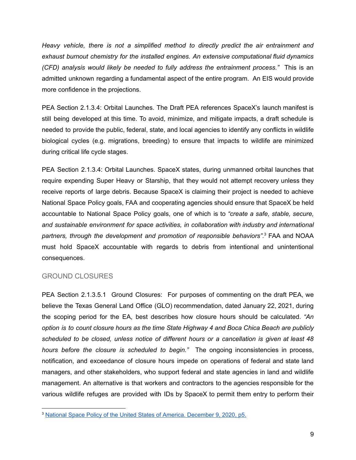*Heavy vehicle, there is not a simplified method to directly predict the air entrainment and exhaust burnout chemistry for the installed engines. An extensive computational fluid dynamics (CFD) analysis would likely be needed to fully address the entrainment process."* This is an admitted unknown regarding a fundamental aspect of the entire program. An EIS would provide more confidence in the projections.

PEA Section 2.1.3.4: Orbital Launches. The Draft PEA references SpaceX's launch manifest is still being developed at this time. To avoid, minimize, and mitigate impacts, a draft schedule is needed to provide the public, federal, state, and local agencies to identify any conflicts in wildlife biological cycles (e.g. migrations, breeding) to ensure that impacts to wildlife are minimized during critical life cycle stages.

PEA Section 2.1.3.4: Orbital Launches. SpaceX states, during unmanned orbital launches that require expending Super Heavy or Starship, that they would not attempt recovery unless they receive reports of large debris. Because SpaceX is claiming their project is needed to achieve National Space Policy goals, FAA and cooperating agencies should ensure that SpaceX be held accountable to National Space Policy goals, one of which is to *"create a safe, stable, secure, and sustainable environment for space activities, in collaboration with industry and international partners, through the development and promotion of responsible behaviors".* <sup>3</sup> FAA and NOAA must hold SpaceX accountable with regards to debris from intentional and unintentional consequences.

### GROUND CLOSURES

PEA Section 2.1.3.5.1 Ground Closures: For purposes of commenting on the draft PEA, we believe the Texas General Land Office (GLO) recommendation, dated January 22, 2021, during the scoping period for the EA, best describes how closure hours should be calculated. *"An option is to count closure hours as the time State Highway 4 and Boca Chica Beach are publicly scheduled to be closed, unless notice of different hours or a cancellation is given at least 48 hours before the closure is scheduled to begin."* The ongoing inconsistencies in process, notification, and exceedance of closure hours impede on operations of federal and state land managers, and other stakeholders, who support federal and state agencies in land and wildlife management. An alternative is that workers and contractors to the agencies responsible for the various wildlife refuges are provided with IDs by SpaceX to permit them entry to perform their

<sup>3</sup> National Space Policy of the United States of America. [December](https://trumpwhitehouse.archives.gov/wp-content/uploads/2020/12/National-Space-Policy.pdf) 9, 2020, p5.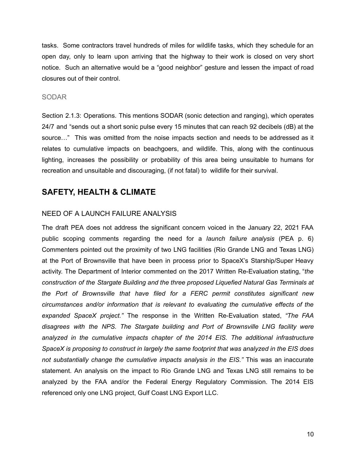tasks. Some contractors travel hundreds of miles for wildlife tasks, which they schedule for an open day, only to learn upon arriving that the highway to their work is closed on very short notice. Such an alternative would be a "good neighbor" gesture and lessen the impact of road closures out of their control.

### SODAR

Section 2.1.3: Operations. This mentions SODAR (sonic detection and ranging), which operates 24/7 and "sends out a short sonic pulse every 15 minutes that can reach 92 decibels (dB) at the source…" This was omitted from the noise impacts section and needs to be addressed as it relates to cumulative impacts on beachgoers, and wildlife. This, along with the continuous lighting, increases the possibility or probability of this area being unsuitable to humans for recreation and unsuitable and discouraging, (if not fatal) to wildlife for their survival.

### **SAFETY, HEALTH & CLIMATE**

### NEED OF A LAUNCH FAILURE ANALYSIS

The draft PEA does not address the significant concern voiced in the January 22, 2021 FAA public scoping comments regarding the need for a *launch failure analysis* (PEA p. 6) Commenters pointed out the proximity of two LNG facilities (Rio Grande LNG and Texas LNG) at the Port of Brownsville that have been in process prior to SpaceX's Starship/Super Heavy activity. The Department of Interior commented on the 2017 Written Re-Evaluation stating, "*the construction of the Stargate Building and the three proposed Liquefied Natural Gas Terminals at the Port of Brownsville that have filed for a FERC permit constitutes significant new circumstances and/or information that is relevant to evaluating the cumulative effects of the expanded SpaceX project."* The response in the Written Re-Evaluation stated, *"The FAA disagrees with the NPS. The Stargate building and Port of Brownsville LNG facility were analyzed in the cumulative impacts chapter of the 2014 EIS. The additional infrastructure SpaceX is proposing to construct in largely the same footprint that was analyzed in the EIS does not substantially change the cumulative impacts analysis in the EIS."* This was an inaccurate statement. An analysis on the impact to Rio Grande LNG and Texas LNG still remains to be analyzed by the FAA and/or the Federal Energy Regulatory Commission. The 2014 EIS referenced only one LNG project, Gulf Coast LNG Export LLC.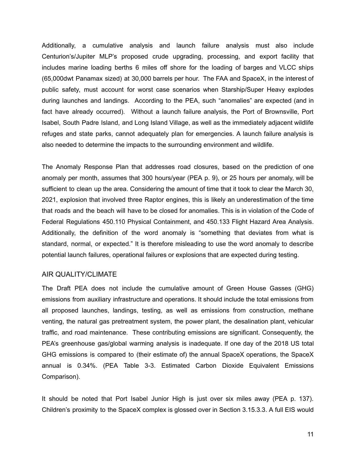Additionally, a cumulative analysis and launch failure analysis must also include Centurion's/Jupiter MLP's proposed crude upgrading, processing, and export facility that includes marine loading berths 6 miles off shore for the loading of barges and VLCC ships (65,000dwt Panamax sized) at 30,000 barrels per hour. The FAA and SpaceX, in the interest of public safety, must account for worst case scenarios when Starship/Super Heavy explodes during launches and landings. According to the PEA, such "anomalies" are expected (and in fact have already occurred). Without a launch failure analysis, the Port of Brownsville, Port Isabel, South Padre Island, and Long Island Village, as well as the immediately adjacent wildlife refuges and state parks, cannot adequately plan for emergencies. A launch failure analysis is also needed to determine the impacts to the surrounding environment and wildlife.

The Anomaly Response Plan that addresses road closures, based on the prediction of one anomaly per month, assumes that 300 hours/year (PEA p. 9), or 25 hours per anomaly, will be sufficient to clean up the area. Considering the amount of time that it took to clear the March 30, 2021, explosion that involved three Raptor engines, this is likely an underestimation of the time that roads and the beach will have to be closed for anomalies. This is in violation of the Code of Federal Regulations 450.110 Physical Containment, and 450.133 Flight Hazard Area Analysis. Additionally, the definition of the word anomaly is "something that deviates from what is standard, normal, or expected." It is therefore misleading to use the word anomaly to describe potential launch failures, operational failures or explosions that are expected during testing.

### AIR QUALITY/CLIMATE

The Draft PEA does not include the cumulative amount of Green House Gasses (GHG) emissions from auxiliary infrastructure and operations. It should include the total emissions from all proposed launches, landings, testing, as well as emissions from construction, methane venting, the natural gas pretreatment system, the power plant, the desalination plant, vehicular traffic, and road maintenance. These contributing emissions are significant. Consequently, the PEA's greenhouse gas/global warming analysis is inadequate. If one day of the 2018 US total GHG emissions is compared to (their estimate of) the annual SpaceX operations, the SpaceX annual is 0.34%. (PEA Table 3-3. Estimated Carbon Dioxide Equivalent Emissions Comparison).

It should be noted that Port Isabel Junior High is just over six miles away (PEA p. 137). Children's proximity to the SpaceX complex is glossed over in Section 3.15.3.3. A full EIS would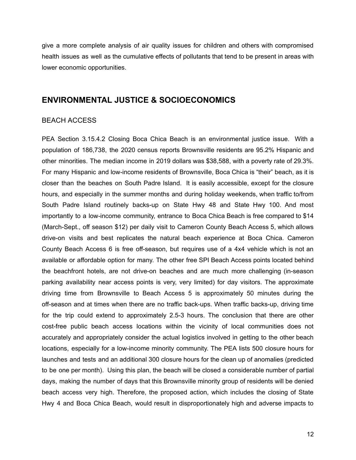give a more complete analysis of air quality issues for children and others with compromised health issues as well as the cumulative effects of pollutants that tend to be present in areas with lower economic opportunities.

### **ENVIRONMENTAL JUSTICE & SOCIOECONOMICS**

#### BEACH ACCESS

PEA Section 3.15.4.2 Closing Boca Chica Beach is an environmental justice issue. With a population of 186,738, the 2020 census reports Brownsville residents are 95.2% Hispanic and other minorities. The median income in 2019 dollars was \$38,588, with a poverty rate of 29.3%. For many Hispanic and low-income residents of Brownsville, Boca Chica is "their" beach, as it is closer than the beaches on South Padre Island. It is easily accessible, except for the closure hours, and especially in the summer months and during holiday weekends, when traffic to/from South Padre Island routinely backs-up on State Hwy 48 and State Hwy 100. And most importantly to a low-income community, entrance to Boca Chica Beach is free compared to \$14 (March-Sept., off season \$12) per daily visit to Cameron County Beach Access 5, which allows drive-on visits and best replicates the natural beach experience at Boca Chica. Cameron County Beach Access 6 is free off-season, but requires use of a 4x4 vehicle which is not an available or affordable option for many. The other free SPI Beach Access points located behind the beachfront hotels, are not drive-on beaches and are much more challenging (in-season parking availability near access points is very, very limited) for day visitors. The approximate driving time from Brownsville to Beach Access 5 is approximately 50 minutes during the off-season and at times when there are no traffic back-ups. When traffic backs-up, driving time for the trip could extend to approximately 2.5-3 hours. The conclusion that there are other cost-free public beach access locations within the vicinity of local communities does not accurately and appropriately consider the actual logistics involved in getting to the other beach locations, especially for a low-income minority community. The PEA lists 500 closure hours for launches and tests and an additional 300 closure hours for the clean up of anomalies (predicted to be one per month). Using this plan, the beach will be closed a considerable number of partial days, making the number of days that this Brownsville minority group of residents will be denied beach access very high. Therefore, the proposed action, which includes the closing of State Hwy 4 and Boca Chica Beach, would result in disproportionately high and adverse impacts to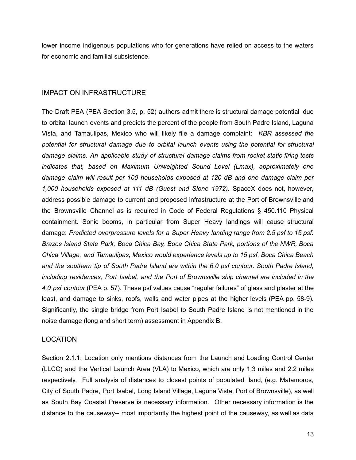lower income indigenous populations who for generations have relied on access to the waters for economic and familial subsistence.

### IMPACT ON INFRASTRUCTURE

The Draft PEA (PEA Section 3.5, p. 52) authors admit there is structural damage potential due to orbital launch events and predicts the percent of the people from South Padre Island, Laguna Vista, and Tamaulipas, Mexico who will likely file a damage complaint: *KBR assessed the potential for structural damage due to orbital launch events using the potential for structural damage claims. An applicable study of structural damage claims from rocket static firing tests indicates that, based on Maximum Unweighted Sound Level (Lmax), approximately one damage claim will result per 100 households exposed at 120 dB and one damage claim per 1,000 households exposed at 111 dB (Guest and Slone 1972)*. SpaceX does not, however, address possible damage to current and proposed infrastructure at the Port of Brownsville and the Brownsville Channel as is required in Code of Federal Regulations § 450.110 Physical containment. Sonic booms, in particular from Super Heavy landings will cause structural damage: *Predicted overpressure levels for a Super Heavy landing range from 2.5 psf to 15 psf. Brazos Island State Park, Boca Chica Bay, Boca Chica State Park, portions of the NWR, Boca Chica Village, and Tamaulipas, Mexico would experience levels up to 15 psf. Boca Chica Beach and the southern tip of South Padre Island are within the 6.0 psf contour. South Padre Island, including residences, Port Isabel, and the Port of Brownsville ship channel are included in the 4.0 psf contour* (PEA p. 57). These psf values cause "regular failures" of glass and plaster at the least, and damage to sinks, roofs, walls and water pipes at the higher levels (PEA pp. 58-9). Significantly, the single bridge from Port Isabel to South Padre Island is not mentioned in the noise damage (long and short term) assessment in Appendix B.

### LOCATION

Section 2.1.1: Location only mentions distances from the Launch and Loading Control Center (LLCC) and the Vertical Launch Area (VLA) to Mexico, which are only 1.3 miles and 2.2 miles respectively. Full analysis of distances to closest points of populated land, (e.g. Matamoros, City of South Padre, Port Isabel, Long Island Village, Laguna Vista, Port of Brownsville), as well as South Bay Coastal Preserve is necessary information. Other necessary information is the distance to the causeway-- most importantly the highest point of the causeway, as well as data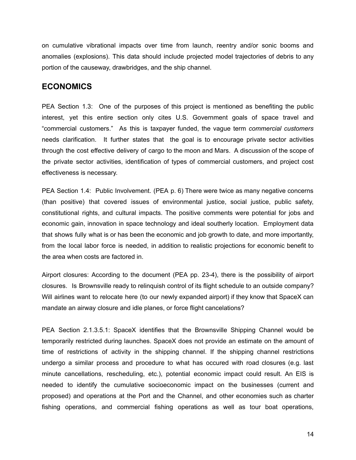on cumulative vibrational impacts over time from launch, reentry and/or sonic booms and anomalies (explosions). This data should include projected model trajectories of debris to any portion of the causeway, drawbridges, and the ship channel.

### **ECONOMICS**

PEA Section 1.3: One of the purposes of this project is mentioned as benefiting the public interest, yet this entire section only cites U.S. Government goals of space travel and "commercial customers." As this is taxpayer funded, the vague term *commercial customers* needs clarification. It further states that the goal is to encourage private sector activities through the cost effective delivery of cargo to the moon and Mars. A discussion of the scope of the private sector activities, identification of types of commercial customers, and project cost effectiveness is necessary.

PEA Section 1.4: Public Involvement. (PEA p. 6) There were twice as many negative concerns (than positive) that covered issues of environmental justice, social justice, public safety, constitutional rights, and cultural impacts. The positive comments were potential for jobs and economic gain, innovation in space technology and ideal southerly location. Employment data that shows fully what is or has been the economic and job growth to date, and more importantly, from the local labor force is needed, in addition to realistic projections for economic benefit to the area when costs are factored in.

Airport closures: According to the document (PEA pp. 23-4), there is the possibility of airport closures. Is Brownsville ready to relinquish control of its flight schedule to an outside company? Will airlines want to relocate here (to our newly expanded airport) if they know that SpaceX can mandate an airway closure and idle planes, or force flight cancelations?

PEA Section 2.1.3.5.1: SpaceX identifies that the Brownsville Shipping Channel would be temporarily restricted during launches. SpaceX does not provide an estimate on the amount of time of restrictions of activity in the shipping channel. If the shipping channel restrictions undergo a similar process and procedure to what has occured with road closures (e.g. last minute cancellations, rescheduling, etc.), potential economic impact could result. An EIS is needed to identify the cumulative socioeconomic impact on the businesses (current and proposed) and operations at the Port and the Channel, and other economies such as charter fishing operations, and commercial fishing operations as well as tour boat operations,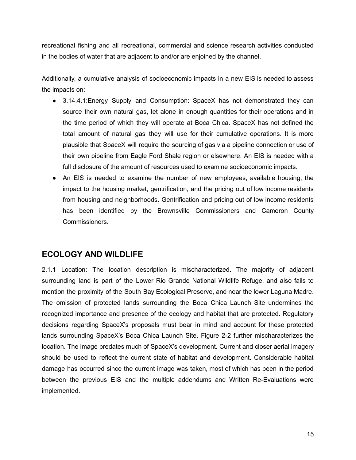recreational fishing and all recreational, commercial and science research activities conducted in the bodies of water that are adjacent to and/or are enjoined by the channel.

Additionally, a cumulative analysis of socioeconomic impacts in a new EIS is needed to assess the impacts on:

- 3.14.4.1:Energy Supply and Consumption: SpaceX has not demonstrated they can source their own natural gas, let alone in enough quantities for their operations and in the time period of which they will operate at Boca Chica. SpaceX has not defined the total amount of natural gas they will use for their cumulative operations. It is more plausible that SpaceX will require the sourcing of gas via a pipeline connection or use of their own pipeline from Eagle Ford Shale region or elsewhere. An EIS is needed with a full disclosure of the amount of resources used to examine socioeconomic impacts.
- An EIS is needed to examine the number of new employees, available housing, the impact to the housing market, gentrification, and the pricing out of low income residents from housing and neighborhoods. Gentrification and pricing out of low income residents has been identified by the Brownsville Commissioners and Cameron County Commissioners.

## **ECOLOGY AND WILDLIFE**

2.1.1 Location: The location description is mischaracterized. The majority of adjacent surrounding land is part of the Lower Rio Grande National Wildlife Refuge, and also fails to mention the proximity of the South Bay Ecological Preserve, and near the lower Laguna Madre. The omission of protected lands surrounding the Boca Chica Launch Site undermines the recognized importance and presence of the ecology and habitat that are protected. Regulatory decisions regarding SpaceX's proposals must bear in mind and account for these protected lands surrounding SpaceX's Boca Chica Launch Site. Figure 2-2 further mischaracterizes the location. The image predates much of SpaceX's development. Current and closer aerial imagery should be used to reflect the current state of habitat and development. Considerable habitat damage has occurred since the current image was taken, most of which has been in the period between the previous EIS and the multiple addendums and Written Re-Evaluations were implemented.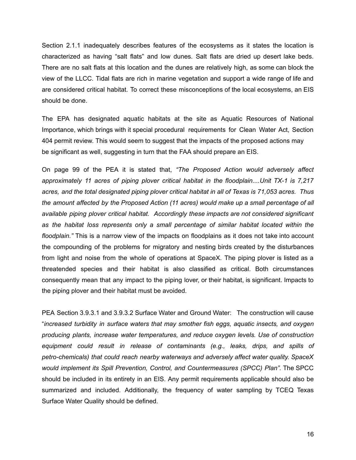Section 2.1.1 inadequately describes features of the ecosystems as it states the location is characterized as having "salt flats" and low dunes. Salt flats are dried up desert lake beds. There are no salt flats at this location and the dunes are relatively high, as some can block the view of the LLCC. Tidal flats are rich in marine vegetation and support a wide range of life and are considered critical habitat. To correct these misconceptions of the local ecosystems, an EIS should be done.

The EPA has designated aquatic habitats at the site as Aquatic Resources of National Importance, which brings with it special procedural requirements for Clean Water Act, Section 404 permit review. This would seem to suggest that the impacts of the proposed actions may be significant as well, suggesting in turn that the FAA should prepare an EIS.

On page 99 of the PEA it is stated that, *"The Proposed Action would adversely affect approximately 11 acres of piping plover critical habitat in the floodplain....Unit TX-1 is 7,217 acres, and the total designated piping plover critical habitat in all of Texas is 71,053 acres. Thus the amount affected by the Proposed Action (11 acres) would make up a small percentage of all available piping plover critical habitat. Accordingly these impacts are not considered significant as the habitat loss represents only a small percentage of similar habitat located within the floodplain."* This is a narrow view of the impacts on floodplains as it does not take into account the compounding of the problems for migratory and nesting birds created by the disturbances from light and noise from the whole of operations at SpaceX. The piping plover is listed as a threatended species and their habitat is also classified as critical. Both circumstances consequently mean that any impact to the piping lover, or their habitat, is significant. Impacts to the piping plover and their habitat must be avoided.

PEA Section 3.9.3.1 and 3.9.3.2 Surface Water and Ground Water: The construction will cause "*increased turbidity in surface waters that may smother fish eggs, aquatic insects, and oxygen producing plants, increase water temperatures, and reduce oxygen levels. Use of construction equipment could result in release of contaminants (e.g., leaks, drips, and spills of petro-chemicals) that could reach nearby waterways and adversely affect water quality. SpaceX would implement its Spill Prevention, Control, and Countermeasures (SPCC) Plan".* The SPCC should be included in its entirety in an EIS. Any permit requirements applicable should also be summarized and included. Additionally, the frequency of water sampling by TCEQ Texas Surface Water Quality should be defined.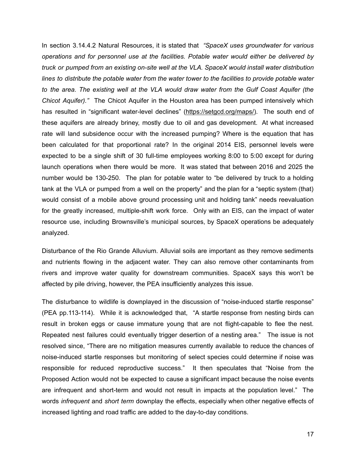In section 3.14.4.2 Natural Resources, it is stated that *"SpaceX uses groundwater for various operations and for personnel use at the facilities. Potable water would either be delivered by truck or pumped from an existing on-site well at the VLA. SpaceX would install water distribution lines to distribute the potable water from the water tower to the facilities to provide potable water to the area. The existing well at the VLA would draw water from the Gulf Coast Aquifer (the Chicot Aquifer)."* The Chicot Aquifer in the Houston area has been pumped intensively which has resulted in "significant water-level declines" ([https://setgcd.org/maps/\)](https://setgcd.org/maps/). The south end of these aquifers are already briney, mostly due to oil and gas development. At what increased rate will land subsidence occur with the increased pumping? Where is the equation that has been calculated for that proportional rate? In the original 2014 EIS, personnel levels were expected to be a single shift of 30 full-time employees working 8:00 to 5:00 except for during launch operations when there would be more. It was stated that between 2016 and 2025 the number would be 130-250. The plan for potable water to "be delivered by truck to a holding tank at the VLA or pumped from a well on the property" and the plan for a "septic system (that) would consist of a mobile above ground processing unit and holding tank" needs reevaluation for the greatly increased, multiple-shift work force. Only with an EIS, can the impact of water resource use, including Brownsville's municipal sources, by SpaceX operations be adequately analyzed.

Disturbance of the Rio Grande Alluvium. Alluvial soils are important as they remove sediments and nutrients flowing in the adjacent water. They can also remove other contaminants from rivers and improve water quality for downstream communities. SpaceX says this won't be affected by pile driving, however, the PEA insufficiently analyzes this issue.

The disturbance to wildlife is downplayed in the discussion of "noise-induced startle response" (PEA pp.113-114). While it is acknowledged that, "A startle response from nesting birds can result in broken eggs or cause immature young that are not flight-capable to flee the nest. Repeated nest failures could eventually trigger desertion of a nesting area." The issue is not resolved since, "There are no mitigation measures currently available to reduce the chances of noise-induced startle responses but monitoring of select species could determine if noise was responsible for reduced reproductive success." It then speculates that "Noise from the Proposed Action would not be expected to cause a significant impact because the noise events are infrequent and short-term and would not result in impacts at the population level." The words *infrequent* and *short term* downplay the effects, especially when other negative effects of increased lighting and road traffic are added to the day-to-day conditions.

17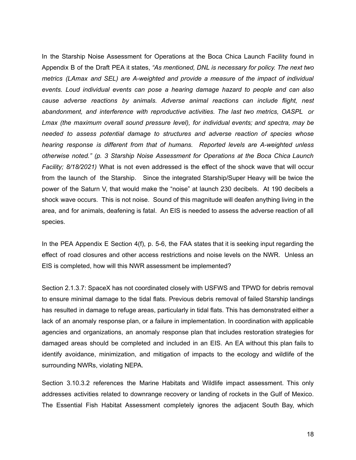In the Starship Noise Assessment for Operations at the Boca Chica Launch Facility found in Appendix B of the Draft PEA it states, *"As mentioned, DNL is necessary for policy. The next two metrics (LAmax and SEL) are A-weighted and provide a measure of the impact of individual events. Loud individual events can pose a hearing damage hazard to people and can also cause adverse reactions by animals. Adverse animal reactions can include flight, nest abandonment, and interference with reproductive activities. The last two metrics, OASPL or Lmax (the maximum overall sound pressure level), for individual events; and spectra, may be needed to assess potential damage to structures and adverse reaction of species whose hearing response is different from that of humans. Reported levels are A-weighted unless otherwise noted." (p. 3 Starship Noise Assessment for Operations at the Boca Chica Launch Facility; 8/18/2021)* What is not even addressed is the effect of the shock wave that will occur from the launch of the Starship. Since the integrated Starship/Super Heavy will be twice the power of the Saturn V, that would make the "noise" at launch 230 decibels. At 190 decibels a shock wave occurs. This is not noise. Sound of this magnitude will deafen anything living in the area, and for animals, deafening is fatal. An EIS is needed to assess the adverse reaction of all species.

In the PEA Appendix E Section 4(f), p. 5-6, the FAA states that it is seeking input regarding the effect of road closures and other access restrictions and noise levels on the NWR. Unless an EIS is completed, how will this NWR assessment be implemented?

Section 2.1.3.7: SpaceX has not coordinated closely with USFWS and TPWD for debris removal to ensure minimal damage to the tidal flats. Previous debris removal of failed Starship landings has resulted in damage to refuge areas, particularly in tidal flats. This has demonstrated either a lack of an anomaly response plan, or a failure in implementation. In coordination with applicable agencies and organizations, an anomaly response plan that includes restoration strategies for damaged areas should be completed and included in an EIS. An EA without this plan fails to identify avoidance, minimization, and mitigation of impacts to the ecology and wildlife of the surrounding NWRs, violating NEPA.

Section 3.10.3.2 references the Marine Habitats and Wildlife impact assessment. This only addresses activities related to downrange recovery or landing of rockets in the Gulf of Mexico. The Essential Fish Habitat Assessment completely ignores the adjacent South Bay, which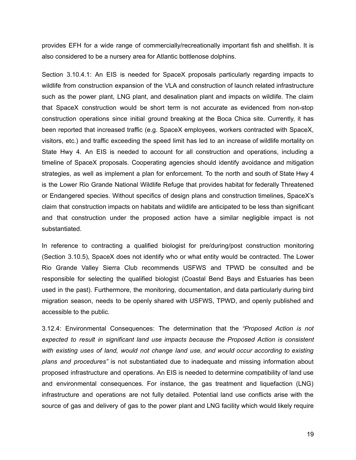provides EFH for a wide range of commercially/recreationally important fish and shellfish. It is also considered to be a nursery area for Atlantic bottlenose dolphins.

Section 3.10.4.1: An EIS is needed for SpaceX proposals particularly regarding impacts to wildlife from construction expansion of the VLA and construction of launch related infrastructure such as the power plant, LNG plant, and desalination plant and impacts on wildlife. The claim that SpaceX construction would be short term is not accurate as evidenced from non-stop construction operations since initial ground breaking at the Boca Chica site. Currently, it has been reported that increased traffic (e.g. SpaceX employees, workers contracted with SpaceX, visitors, etc.) and traffic exceeding the speed limit has led to an increase of wildlife mortality on State Hwy 4. An EIS is needed to account for all construction and operations, including a timeline of SpaceX proposals. Cooperating agencies should identify avoidance and mitigation strategies, as well as implement a plan for enforcement. To the north and south of State Hwy 4 is the Lower Rio Grande National Wildlife Refuge that provides habitat for federally Threatened or Endangered species. Without specifics of design plans and construction timelines, SpaceX's claim that construction impacts on habitats and wildlife are anticipated to be less than significant and that construction under the proposed action have a similar negligible impact is not substantiated.

In reference to contracting a qualified biologist for pre/during/post construction monitoring (Section 3.10.5), SpaceX does not identify who or what entity would be contracted. The Lower Rio Grande Valley Sierra Club recommends USFWS and TPWD be consulted and be responsible for selecting the qualified biologist (Coastal Bend Bays and Estuaries has been used in the past). Furthermore, the monitoring, documentation, and data particularly during bird migration season, needs to be openly shared with USFWS, TPWD, and openly published and accessible to the public.

3.12.4: Environmental Consequences: The determination that the *"Proposed Action is not expected to result in significant land use impacts because the Proposed Action is consistent with existing uses of land, would not change land use, and would occur according to existing plans and procedures"* is not substantiated due to inadequate and missing information about proposed infrastructure and operations. An EIS is needed to determine compatibility of land use and environmental consequences. For instance, the gas treatment and liquefaction (LNG) infrastructure and operations are not fully detailed. Potential land use conflicts arise with the source of gas and delivery of gas to the power plant and LNG facility which would likely require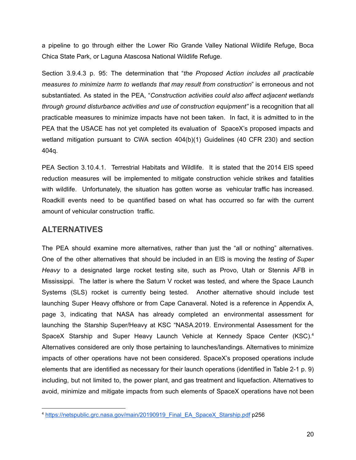a pipeline to go through either the Lower Rio Grande Valley National Wildlife Refuge, Boca Chica State Park, or Laguna Atascosa National Wildlife Refuge.

Section 3.9.4.3 p. 95: The determination that "*the Proposed Action includes all practicable measures to minimize harm to wetlands that may result from construction*" is erroneous and not substantiated. As stated in the PEA, "*Construction activities could also affect adjacent wetlands through ground disturbance activities and use of construction equipment"* is a recognition that all practicable measures to minimize impacts have not been taken. In fact, it is admitted to in the PEA that the USACE has not yet completed its evaluation of SpaceX's proposed impacts and wetland mitigation pursuant to CWA section 404(b)(1) Guidelines (40 CFR 230) and section 404q.

PEA Section 3.10.4.1. Terrestrial Habitats and Wildlife. It is stated that the 2014 EIS speed reduction measures will be implemented to mitigate construction vehicle strikes and fatalities with wildlife. Unfortunately, the situation has gotten worse as vehicular traffic has increased. Roadkill events need to be quantified based on what has occurred so far with the current amount of vehicular construction traffic.

### **ALTERNATIVES**

The PEA should examine more alternatives, rather than just the "all or nothing" alternatives. One of the other alternatives that should be included in an EIS is moving the *testing of Super Heavy* to a designated large rocket testing site, such as Provo, Utah or Stennis AFB in Mississippi. The latter is where the Saturn V rocket was tested, and where the Space Launch Systems (SLS) rocket is currently being tested. Another alternative should include test launching Super Heavy offshore or from Cape Canaveral. Noted is a reference in Appendix A, page 3, indicating that NASA has already completed an environmental assessment for launching the Starship Super/Heavy at KSC "NASA.2019. Environmental Assessment for the SpaceX Starship and Super Heavy Launch Vehicle at Kennedy Space Center (KSC).<sup>4</sup> Alternatives considered are only those pertaining to launches/landings. Alternatives to minimize impacts of other operations have not been considered. SpaceX's proposed operations include elements that are identified as necessary for their launch operations (identified in Table 2-1 p. 9) including, but not limited to, the power plant, and gas treatment and liquefaction. Alternatives to avoid, minimize and mitigate impacts from such elements of SpaceX operations have not been

<sup>4</sup> [https://netspublic.grc.nasa.gov/main/20190919\\_Final\\_EA\\_SpaceX\\_Starship.pdf](https://netspublic.grc.nasa.gov/main/20190919_Final_EA_SpaceX_Starship.pdf) p256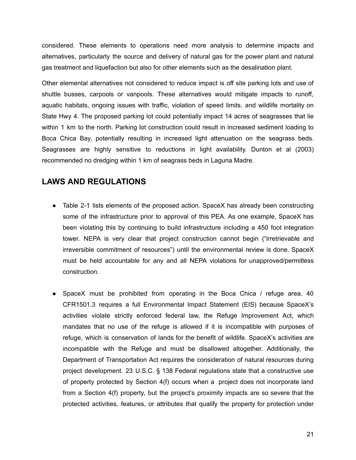considered. These elements to operations need more analysis to determine impacts and alternatives, particularly the source and delivery of natural gas for the power plant and natural gas treatment and liquefaction but also for other elements such as the desalination plant.

Other elemental alternatives not considered to reduce impact is off site parking lots and use of shuttle busses, carpools or vanpools. These alternatives would mitigate impacts to runoff, aquatic habitats, ongoing issues with traffic, violation of speed limits, and wildlife mortality on State Hwy 4. The proposed parking lot could potentially impact 14 acres of seagrasses that lie within 1 km to the north. Parking lot construction could result in increased sediment loading to Boca Chica Bay, potentially resulting in increased light attenuation on the seagrass beds. Seagrasses are highly sensitive to reductions in light availability. Dunton et al (2003) recommended no dredging within 1 km of seagrass beds in Laguna Madre.

# **LAWS AND REGULATIONS**

- Table 2-1 lists elements of the proposed action. SpaceX has already been constructing some of the infrastructure prior to approval of this PEA. As one example, SpaceX has been violating this by continuing to build infrastructure including a 450 foot integration tower. NEPA is very clear that project construction cannot begin ("irretrievable and irreversible commitment of resources") until the environmental review is done. SpaceX must be held accountable for any and all NEPA violations for unapproved/permitless construction.
- SpaceX must be prohibited from operating in the Boca Chica / refuge area. 40 CFR1501.3 requires a full Environmental Impact Statement (EIS) because SpaceX's activities violate strictly enforced federal law, the Refuge Improvement Act, which mandates that no use of the refuge is allowed if it is incompatible with purposes of refuge, which is conservation of lands for the benefit of wildlife. SpaceX's activities are incompatible with the Refuge and must be disallowed altogether. Additionally, the Department of Transportation Act requires the consideration of natural resources during project development. 23 U.S.C. § 138 Federal regulations state that a constructive use of property protected by Section 4(f) occurs when a project does not incorporate land from a Section 4(f) property, but the project's proximity impacts are so severe that the protected activities, features, or attributes that qualify the property for protection under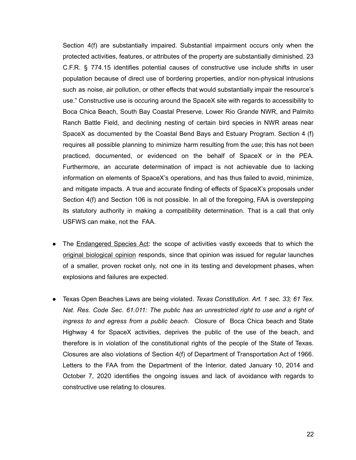Section 4(f) are substantially impaired. Substantial impairment occurs only when the protected activities, features, or attributes of the property are substantially diminished. 23 C.F.R. § 774.15 identifies potential causes of constructive use include shifts in user population because of direct use of bordering properties, and/or non-physical intrusions such as noise, air pollution, or other effects that would substantially impair the resource's use." Constructive use is occuring around the SpaceX site with regards to accessibility to Boca Chica Beach, South Bay Coastal Preserve, Lower Rio Grande NWR, and Palmito Ranch Battle Field, and declining nesting of certain bird species in NWR areas near SpaceX as documented by the Coastal Bend Bays and Estuary Program. Section 4 (f) requires all possible planning to minimize harm resulting from the *use*; this has not been practiced, documented, or evidenced on the behalf of SpaceX or in the PEA. Furthermore, an accurate determination of impact is not achievable due to lacking information on elements of SpaceX's operations, and has thus failed to avoid, minimize, and mitigate impacts. A true and accurate finding of effects of SpaceX's proposals under Section 4(f) and Section 106 is not possible. In all of the foregoing, FAA is overstepping its statutory authority in making a compatibility determination. That is a call that only USFWS can make, not the FAA.

- The [Endangered](https://www.faa.gov/space/environmental/nepa_docs/spacex_texas_eis/media/Final_BO_FAA_SpaceX_sm.pdf) Species Act: the scope of activities vastly exceeds that to which the original [biological](https://www.faa.gov/space/environmental/nepa_docs/spacex_texas_eis/media/Final_BO_FAA_SpaceX_sm.pdf) opinion responds, since that opinion was issued for regular launches of a smaller, proven rocket only, not one in its testing and development phases, when explosions and failures are expected.
- Texas Open Beaches Laws are being violated. *Texas Constitution. Art. 1 sec. 33; 61 Tex. Nat. Res. Code Sec. 61.011: The public has an unrestricted right to use and a right of ingress to and egress from a public beach*. Closure of Boca Chica beach and State Highway 4 for SpaceX activities, deprives the public of the use of the beach, and therefore is in violation of the constitutional rights of the people of the State of Texas. Closures are also violations of Section 4(f) of Department of Transportation Act of 1966. Letters to the FAA from the Department of the Interior, dated January 10, 2014 and October 7, 2020 identifies the ongoing issues and lack of avoidance with regards to constructive use relating to closures.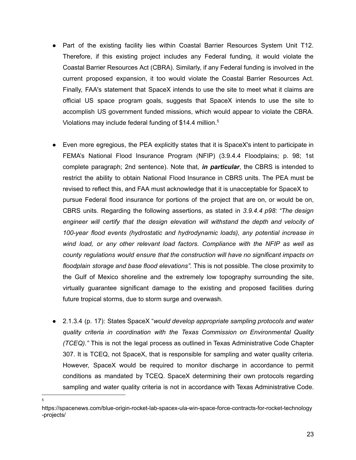- Part of the existing facility lies within Coastal Barrier Resources System Unit T12. Therefore, if this existing project includes any Federal funding, it would violate the Coastal Barrier Resources Act (CBRA). Similarly, if any Federal funding is involved in the current proposed expansion, it too would violate the Coastal Barrier Resources Act. Finally, FAA's statement that SpaceX intends to use the site to meet what it claims are official US space program goals, suggests that SpaceX intends to use the site to accomplish US government funded missions, which would appear to violate the CBRA. Violations may include federal funding of \$14.4 million. 5
- Even more egregious, the PEA explicitly states that it is SpaceX's intent to participate in FEMA's National Flood Insurance Program (NFIP) (3.9.4.4 Floodplains; p. 98; 1st complete paragraph; 2nd sentence). Note that, *in particular*, the CBRS is intended to restrict the ability to obtain National Flood Insurance in CBRS units. The PEA must be revised to reflect this, and FAA must acknowledge that it is unacceptable for SpaceX to pursue Federal flood insurance for portions of the project that are on, or would be on, CBRS units. Regarding the following assertions, as stated in *3.9.4.4 p98: "The design engineer will certify that the design elevation will withstand the depth and velocity of 100-year flood events (hydrostatic and hydrodynamic loads), any potential increase in wind load, or any other relevant load factors. Compliance with the NFIP as well as county regulations would ensure that the construction will have no significant impacts on floodplain storage and base flood elevations".* This is not possible. The close proximity to the Gulf of Mexico shoreline and the extremely low topography surrounding the site, virtually guarantee significant damage to the existing and proposed facilities during future tropical storms, due to storm surge and overwash.
- 2.1.3.4 (p. 17): States SpaceX "*would develop appropriate sampling protocols and water quality criteria in coordination with the Texas Commission on Environmental Quality (TCEQ)."* This is not the legal process as outlined in Texas Administrative Code Chapter 307. It is TCEQ, not SpaceX, that is responsible for sampling and water quality criteria. However, SpaceX would be required to monitor discharge in accordance to permit conditions as mandated by TCEQ. SpaceX determining their own protocols regarding sampling and water quality criteria is not in accordance with Texas Administrative Code.

5

https://spacenews.com/blue-origin-rocket-lab-spacex-ula-win-space-force-contracts-for-rocket-technology -projects/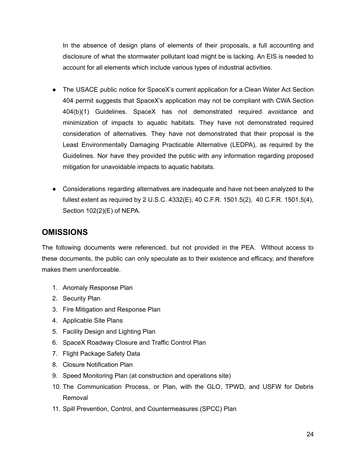In the absence of design plans of elements of their proposals, a full accounting and disclosure of what the stormwater pollutant load might be is lacking. An EIS is needed to account for all elements which include various types of industrial activities.

- The USACE public notice for SpaceX's current application for a Clean Water Act Section 404 permit suggests that SpaceX's application may not be compliant with CWA Section 404(b)(1) Guidelines. SpaceX has not demonstrated required avoidance and minimization of impacts to aquatic habitats. They have not demonstrated required consideration of alternatives. They have not demonstrated that their proposal is the Least Environmentally Damaging Practicable Alternative (LEDPA), as required by the Guidelines. Nor have they provided the public with any information regarding proposed mitigation for unavoidable impacts to aquatic habitats.
- Considerations regarding alternatives are inadequate and have not been analyzed to the fullest extent as required by 2 U.S.C. 4332(E), 40 C.F.R. 1501.5(2), 40 C.F.R. 1501.5(4), Section 102(2)(E) of NEPA.

# **OMISSIONS**

The following documents were referenced, but not provided in the PEA. WIthout access to these documents, the public can only speculate as to their existence and efficacy, and therefore makes them unenforceable.

- 1. Anomaly Response Plan
- 2. Security Plan
- 3. Fire Mitigation and Response Plan
- 4. Applicable Site Plans
- 5. Facility Design and Lighting Plan
- 6. SpaceX Roadway Closure and Traffic Control Plan
- 7. Flight Package Safety Data
- 8. Closure Notification Plan
- 9. Speed Monitoring Plan (at construction and operations site)
- 10. The Communication Process, or Plan, with the GLO, TPWD, and USFW for Debris Removal
- 11. Spill Prevention, Control, and Countermeasures (SPCC) Plan